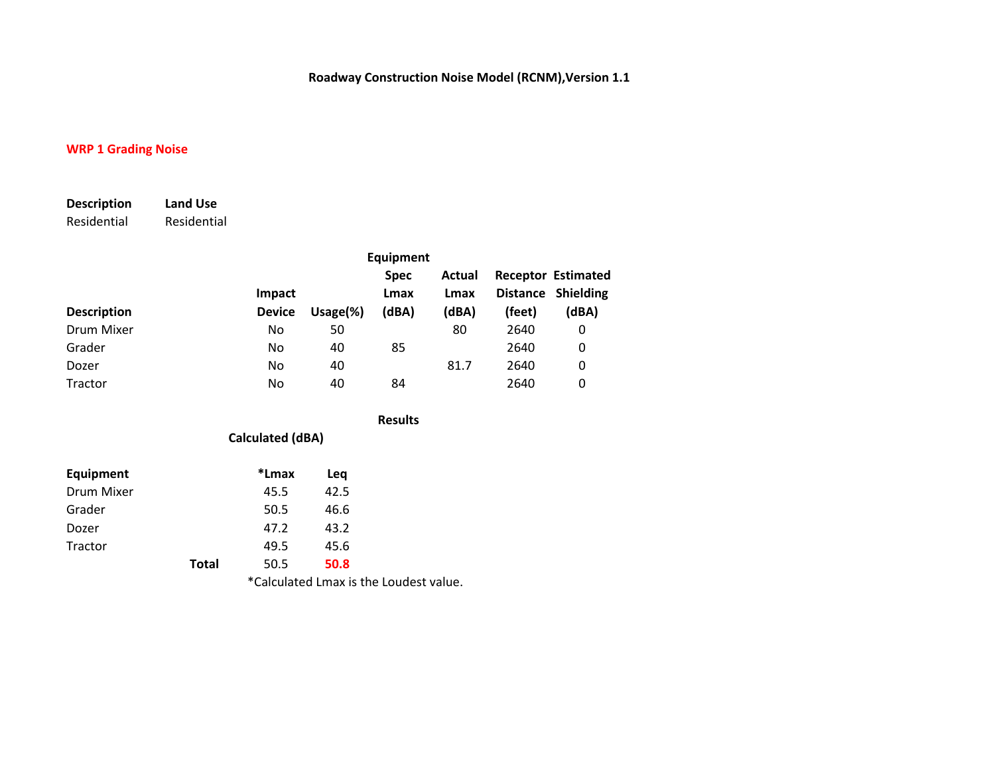### **WRP 1 Grading Noise**

| <b>Description</b> | Land Use    |
|--------------------|-------------|
| Residential        | Residential |

|                    |                         |              | <b>Equipment</b>             |                         |        |                                                          |
|--------------------|-------------------------|--------------|------------------------------|-------------------------|--------|----------------------------------------------------------|
| <b>Description</b> | Impact<br><b>Device</b> | Usage $(\%)$ | <b>Spec</b><br>Lmax<br>(dBA) | Actual<br>Lmax<br>(dBA) | (feet) | <b>Receptor Estimated</b><br>Distance Shielding<br>(dBA) |
| Drum Mixer         | No                      | 50           |                              | 80                      | 2640   | 0                                                        |
| Grader             | No                      | 40           | 85                           |                         | 2640   | 0                                                        |
| Dozer              | No                      | 40           |                              | 81.7                    | 2640   | 0                                                        |
| Tractor            | No                      | 40           | 84                           |                         | 2640   | 0                                                        |

**Results**

### **Calculated (dBA)**

| Equipment  |              | *Lmax | Lea  |
|------------|--------------|-------|------|
| Drum Mixer |              | 45.5  | 42.5 |
| Grader     |              | 50.5  | 46.6 |
| Dozer      |              | 47.2  | 43.2 |
| Tractor    |              | 49.5  | 45.6 |
|            | <b>Total</b> | 50.5  | 50.8 |

\*Calculated Lmax is the Loudest value.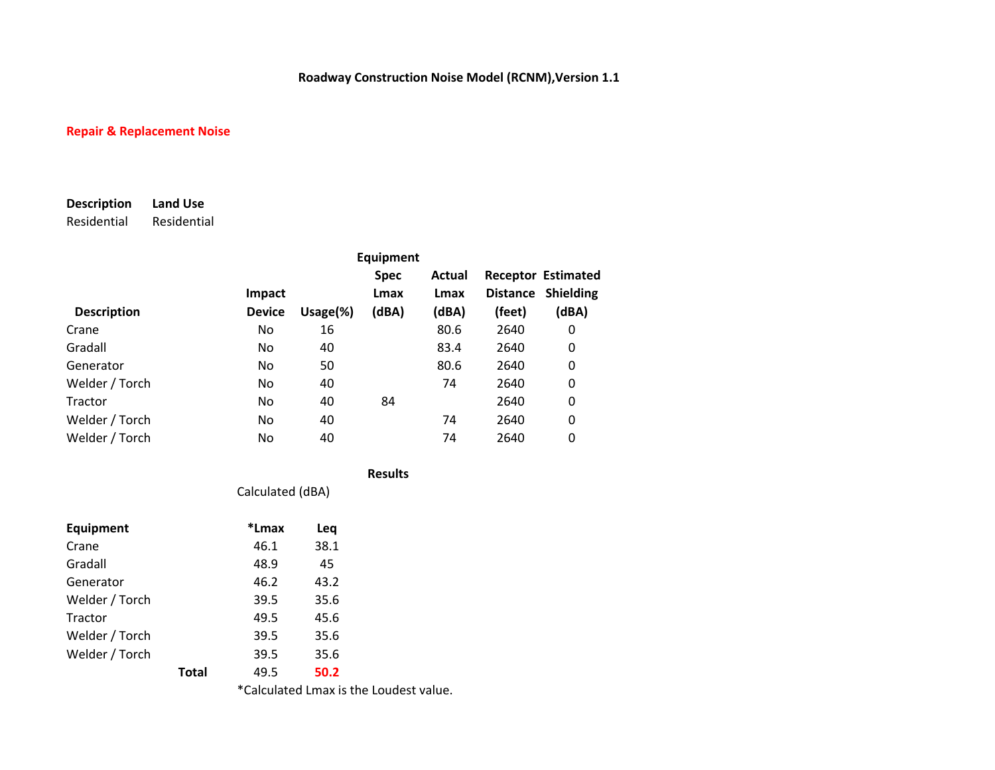## **Repair & Replacement Noise**

# **Description Land Use**

Residential Residential

|                    |               |              | Equipment   |        |        |                           |
|--------------------|---------------|--------------|-------------|--------|--------|---------------------------|
|                    |               |              | <b>Spec</b> | Actual |        | <b>Receptor Estimated</b> |
|                    | <b>Impact</b> |              | Lmax        | Lmax   |        | Distance Shielding        |
| <b>Description</b> | <b>Device</b> | Usage $(\%)$ | (dBA)       | (dBA)  | (feet) | (dBA)                     |
| Crane              | No.           | 16           |             | 80.6   | 2640   | 0                         |
| Gradall            | No.           | 40           |             | 83.4   | 2640   | 0                         |
| Generator          | No            | 50           |             | 80.6   | 2640   | 0                         |
| Welder / Torch     | No            | 40           |             | 74     | 2640   | 0                         |
| Tractor            | No.           | 40           | 84          |        | 2640   | 0                         |
| Welder / Torch     | No            | 40           |             | 74     | 2640   | 0                         |
| Welder / Torch     | No.           | 40           |             | 74     | 2640   | 0                         |

Calculated (dBA)

**Results**

| <b>Equipment</b> |       | *Lmax | Leq  |  |
|------------------|-------|-------|------|--|
| Crane            |       | 46.1  | 38.1 |  |
| Gradall          |       | 48.9  | 45   |  |
| Generator        |       | 46.2  | 43.2 |  |
| Welder / Torch   |       | 39.5  | 35.6 |  |
| Tractor          |       | 49.5  | 45.6 |  |
| Welder / Torch   |       | 39.5  | 35.6 |  |
| Welder / Torch   |       | 39.5  | 35.6 |  |
|                  | Total | 49.5  | 50.2 |  |

\*Calculated Lmax is the Loudest value.